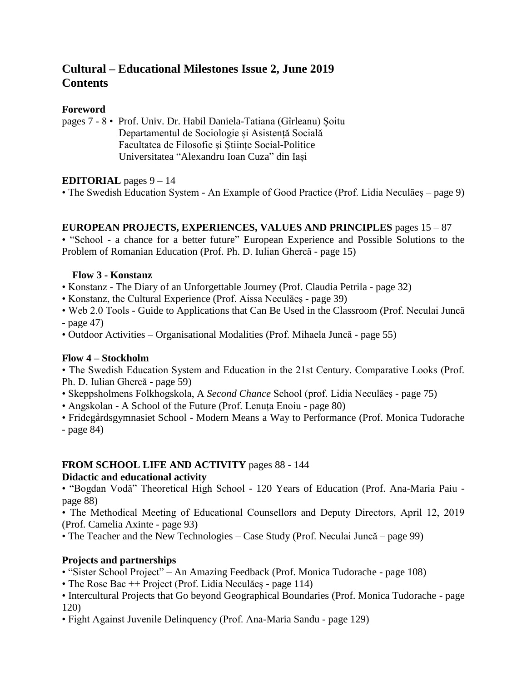# **Cultural – Educational Milestones Issue 2, June 2019 Contents**

## **Foreword**

pages 7 - 8 • Prof. Univ. Dr. Habil Daniela-Tatiana (Gîrleanu) Șoitu Departamentul de Sociologie și Asistență Socială Facultatea de Filosofie și Științe Social-Politice Universitatea "Alexandru Ioan Cuza" din Iași

## **EDITORIAL** pages 9 – 14

• The Swedish Education System - An Example of Good Practice (Prof. Lidia Neculăeș – page 9)

#### **EUROPEAN PROJECTS, EXPERIENCES, VALUES AND PRINCIPLES** pages 15 – 87

• "School - a chance for a better future" European Experience and Possible Solutions to the Problem of Romanian Education (Prof. Ph. D. Iulian Ghercă - page 15)

#### **Flow 3 - Konstanz**

- Konstanz The Diary of an Unforgettable Journey (Prof. Claudia Petrila page 32)
- Konstanz, the Cultural Experience (Prof. Aissa Neculăeș page 39)
- Web 2.0 Tools Guide to Applications that Can Be Used in the Classroom (Prof. Neculai Juncă - page 47)
- Outdoor Activities Organisational Modalities (Prof. Mihaela Juncă page 55)

#### **Flow 4 – Stockholm**

• The Swedish Education System and Education in the 21st Century. Comparative Looks (Prof. Ph. D. Iulian Ghercă - page 59)

- Skeppsholmens Folkhogskola, A *Second Chance* School (prof. Lidia Neculăeș page 75)
- Angskolan A School of the Future (Prof. Lenuța Enoiu page 80)

• Fridegårdsgymnasiet School - Modern Means a Way to Performance (Prof. Monica Tudorache - page 84)

#### **FROM SCHOOL LIFE AND ACTIVITY** pages 88 - 144

#### **Didactic and educational activity**

• "Bogdan Vodă" Theoretical High School - 120 Years of Education (Prof. Ana-Maria Paiu page 88)

• The Methodical Meeting of Educational Counsellors and Deputy Directors, April 12, 2019 (Prof. Camelia Axinte - page 93)

• The Teacher and the New Technologies – Case Study (Prof. Neculai Juncă – page 99)

#### **Projects and partnerships**

- "Sister School Project" An Amazing Feedback (Prof. Monica Tudorache page 108)
- The Rose Bac ++ Project (Prof. Lidia Neculăeș page 114)
- Intercultural Projects that Go beyond Geographical Boundaries (Prof. Monica Tudorache page 120)
- Fight Against Juvenile Delinquency (Prof. Ana-Maria Sandu page 129)